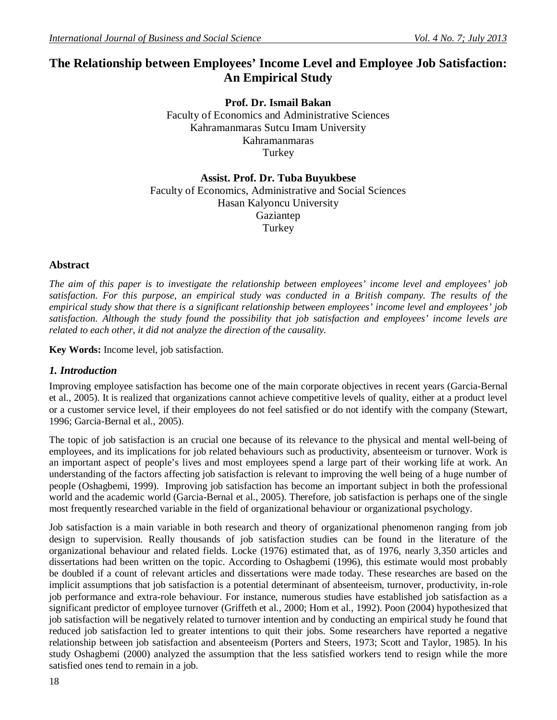# **The Relationship between Employees' Income Level and Employee Job Satisfaction: An Empirical Study**

**Prof. Dr. Ismail Bakan** Faculty of Economics and Administrative Sciences Kahramanmaras Sutcu Imam University Kahramanmaras **Turkey** 

**Assist. Prof. Dr. Tuba Buyukbese** Faculty of Economics, Administrative and Social Sciences Hasan Kalyoncu University Gaziantep Turkey

#### **Abstract**

*The aim of this paper is to investigate the relationship between employees' income level and employees' job satisfaction. For this purpose, an empirical study was conducted in a British company. The results of the empirical study show that there is a significant relationship between employees' income level and employees' job satisfaction. Although the study found the possibility that job satisfaction and employees' income levels are related to each other, it did not analyze the direction of the causality.* 

**Key Words:** Income level, job satisfaction.

#### *1. Introduction*

Improving employee satisfaction has become one of the main corporate objectives in recent years (Garcia-Bernal et al., 2005). It is realized that organizations cannot achieve competitive levels of quality, either at a product level or a customer service level, if their employees do not feel satisfied or do not identify with the company (Stewart, 1996; Garcia-Bernal et al., 2005).

The topic of job satisfaction is an crucial one because of its relevance to the physical and mental well-being of employees, and its implications for job related behaviours such as productivity, absenteeism or turnover. Work is an important aspect of people's lives and most employees spend a large part of their working life at work. An understanding of the factors affecting job satisfaction is relevant to improving the well being of a huge number of people (Oshagbemi, 1999). Improving job satisfaction has become an important subject in both the professional world and the academic world (Garcia-Bernal et al., 2005). Therefore, job satisfaction is perhaps one of the single most frequently researched variable in the field of organizational behaviour or organizational psychology.

Job satisfaction is a main variable in both research and theory of organizational phenomenon ranging from job design to supervision. Really thousands of job satisfaction studies can be found in the literature of the organizational behaviour and related fields. Locke (1976) estimated that, as of 1976, nearly 3,350 articles and dissertations had been written on the topic. According to Oshagbemi (1996), this estimate would most probably be doubled if a count of relevant articles and dissertations were made today. These researches are based on the implicit assumptions that job satisfaction is a potential determinant of absenteeism, turnover, productivity, in-role job performance and extra-role behaviour. For instance, numerous studies have established job satisfaction as a significant predictor of employee turnover (Griffeth et al., 2000; Hom et al., 1992). Poon (2004) hypothesized that job satisfaction will be negatively related to turnover intention and by conducting an empirical study he found that reduced job satisfaction led to greater intentions to quit their jobs. Some researchers have reported a negative relationship between job satisfaction and absenteeism (Porters and Steers, 1973; Scott and Taylor, 1985). In his study Oshagbemi (2000) analyzed the assumption that the less satisfied workers tend to resign while the more satisfied ones tend to remain in a job.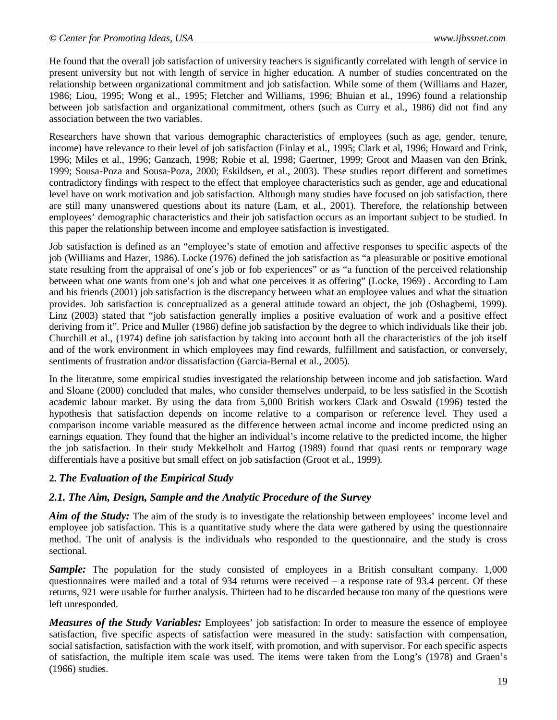He found that the overall job satisfaction of university teachers is significantly correlated with length of service in present university but not with length of service in higher education. A number of studies concentrated on the relationship between organizational commitment and job satisfaction. While some of them (Williams and Hazer, 1986; Liou, 1995; Wong et al., 1995; Fletcher and Williams, 1996; Bhuian et al., 1996) found a relationship between job satisfaction and organizational commitment, others (such as Curry et al., 1986) did not find any association between the two variables.

Researchers have shown that various demographic characteristics of employees (such as age, gender, tenure, income) have relevance to their level of job satisfaction (Finlay et al., 1995; Clark et al, 1996; Howard and Frink, 1996; Miles et al., 1996; Ganzach, 1998; Robie et al, 1998; Gaertner, 1999; Groot and Maasen van den Brink, 1999; Sousa-Poza and Sousa-Poza, 2000; Eskildsen, et al., 2003). These studies report different and sometimes contradictory findings with respect to the effect that employee characteristics such as gender, age and educational level have on work motivation and job satisfaction. Although many studies have focused on job satisfaction, there are still many unanswered questions about its nature (Lam, et al., 2001). Therefore, the relationship between employees' demographic characteristics and their job satisfaction occurs as an important subject to be studied. In this paper the relationship between income and employee satisfaction is investigated.

Job satisfaction is defined as an "employee's state of emotion and affective responses to specific aspects of the job (Williams and Hazer, 1986). Locke (1976) defined the job satisfaction as "a pleasurable or positive emotional state resulting from the appraisal of one's job or fob experiences" or as "a function of the perceived relationship between what one wants from one's job and what one perceives it as offering" (Locke, 1969) . According to Lam and his friends (2001) job satisfaction is the discrepancy between what an employee values and what the situation provides. Job satisfaction is conceptualized as a general attitude toward an object, the job (Oshagbemi, 1999). Linz (2003) stated that "job satisfaction generally implies a positive evaluation of work and a positive effect deriving from it". Price and Muller (1986) define job satisfaction by the degree to which individuals like their job. Churchill et al., (1974) define job satisfaction by taking into account both all the characteristics of the job itself and of the work environment in which employees may find rewards, fulfillment and satisfaction, or conversely, sentiments of frustration and/or dissatisfaction (Garcia-Bernal et al., 2005).

In the literature, some empirical studies investigated the relationship between income and job satisfaction. Ward and Sloane (2000) concluded that males, who consider themselves underpaid, to be less satisfied in the Scottish academic labour market. By using the data from 5,000 British workers Clark and Oswald (1996) tested the hypothesis that satisfaction depends on income relative to a comparison or reference level. They used a comparison income variable measured as the difference between actual income and income predicted using an earnings equation. They found that the higher an individual's income relative to the predicted income, the higher the job satisfaction. In their study Mekkelholt and Hartog (1989) found that quasi rents or temporary wage differentials have a positive but small effect on job satisfaction (Groot et al., 1999).

## **2.** *The Evaluation of the Empirical Study*

#### *2.1. The Aim, Design, Sample and the Analytic Procedure of the Survey*

*Aim of the Study:* The aim of the study is to investigate the relationship between employees' income level and employee job satisfaction. This is a quantitative study where the data were gathered by using the questionnaire method. The unit of analysis is the individuals who responded to the questionnaire, and the study is cross sectional.

**Sample:** The population for the study consisted of employees in a British consultant company. 1,000 questionnaires were mailed and a total of 934 returns were received – a response rate of 93.4 percent. Of these returns, 921 were usable for further analysis. Thirteen had to be discarded because too many of the questions were left unresponded.

*Measures of the Study Variables:* Employees' job satisfaction: In order to measure the essence of employee satisfaction, five specific aspects of satisfaction were measured in the study: satisfaction with compensation, social satisfaction, satisfaction with the work itself, with promotion, and with supervisor. For each specific aspects of satisfaction, the multiple item scale was used. The items were taken from the Long's (1978) and Graen's (1966) studies.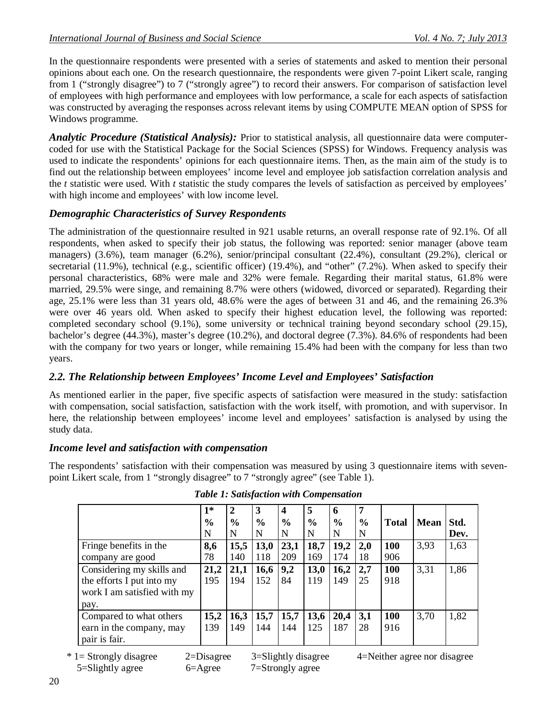In the questionnaire respondents were presented with a series of statements and asked to mention their personal opinions about each one. On the research questionnaire, the respondents were given 7-point Likert scale, ranging from 1 ("strongly disagree") to 7 ("strongly agree") to record their answers. For comparison of satisfaction level of employees with high performance and employees with low performance, a scale for each aspects of satisfaction was constructed by averaging the responses across relevant items by using COMPUTE MEAN option of SPSS for Windows programme.

*Analytic Procedure (Statistical Analysis):* Prior to statistical analysis, all questionnaire data were computercoded for use with the Statistical Package for the Social Sciences (SPSS) for Windows. Frequency analysis was used to indicate the respondents' opinions for each questionnaire items. Then, as the main aim of the study is to find out the relationship between employees' income level and employee job satisfaction correlation analysis and the *t* statistic were used. With *t* statistic the study compares the levels of satisfaction as perceived by employees' with high income and employees' with low income level.

## *Demographic Characteristics of Survey Respondents*

The administration of the questionnaire resulted in 921 usable returns, an overall response rate of 92.1%. Of all respondents, when asked to specify their job status, the following was reported: senior manager (above team managers) (3.6%), team manager (6.2%), senior/principal consultant (22.4%), consultant (29.2%), clerical or secretarial (11.9%), technical (e.g., scientific officer) (19.4%), and "other" (7.2%). When asked to specify their personal characteristics, 68% were male and 32% were female. Regarding their marital status, 61.8% were married, 29.5% were singe, and remaining 8.7% were others (widowed, divorced or separated). Regarding their age, 25.1% were less than 31 years old, 48.6% were the ages of between 31 and 46, and the remaining 26.3% were over 46 years old. When asked to specify their highest education level, the following was reported: completed secondary school (9.1%), some university or technical training beyond secondary school (29.15), bachelor's degree (44.3%), master's degree (10.2%), and doctoral degree (7.3%). 84.6% of respondents had been with the company for two years or longer, while remaining 15.4% had been with the company for less than two years.

## *2.2. The Relationship between Employees' Income Level and Employees' Satisfaction*

As mentioned earlier in the paper, five specific aspects of satisfaction were measured in the study: satisfaction with compensation, social satisfaction, satisfaction with the work itself, with promotion, and with supervisor. In here, the relationship between employees' income level and employees' satisfaction is analysed by using the study data.

## *Income level and satisfaction with compensation*

The respondents' satisfaction with their compensation was measured by using 3 questionnaire items with sevenpoint Likert scale, from 1 "strongly disagree" to 7 "strongly agree" (see Table 1).

|                             | $1*$<br>$\frac{6}{6}$ | $\mathbf{2}$<br>$\frac{6}{6}$ | 3<br>$\frac{6}{6}$ | 4<br>$\frac{0}{0}$ | 5<br>$\frac{6}{6}$ | 6<br>$\frac{0}{0}$ | 7<br>$\frac{0}{0}$ | <b>Total</b> | <b>Mean</b> | Std. |
|-----------------------------|-----------------------|-------------------------------|--------------------|--------------------|--------------------|--------------------|--------------------|--------------|-------------|------|
|                             | N                     | N                             | N                  | N                  | N                  | N                  | N                  |              |             | Dev. |
| Fringe benefits in the      | 8,6                   | 15,5                          | <b>13,0</b>        | 23,1               | 18,7               | 19,2               | 2,0                | 100          | 3,93        | 1,63 |
| company are good            | 78                    | 140                           | 118                | 209                | 169                | 174                | 18                 | 906          |             |      |
| Considering my skills and   | 21,2                  | 21,1                          | 16,6               | 9,2                | 13,0               | 16,2               | 2,7                | <b>100</b>   | 3,31        | 1,86 |
| the efforts I put into my   | 195                   | 194                           | 152                | 84                 | 119                | 149                | 25                 | 918          |             |      |
| work I am satisfied with my |                       |                               |                    |                    |                    |                    |                    |              |             |      |
| pay.                        |                       |                               |                    |                    |                    |                    |                    |              |             |      |
| Compared to what others     | 15,2                  | 16,3                          | 15,7               | 15,7               | 13,6               | 20,4               | 3,1                | 100          | 3,70        | 1,82 |
| earn in the company, may    | 139                   | 149                           | 144                | 144                | 125                | 187                | 28                 | 916          |             |      |
| pair is fair.               |                       |                               |                    |                    |                    |                    |                    |              |             |      |

 \* 1= Strongly disagree 2=Disagree 3=Slightly disagree 4=Neither agree nor disagree 5=Slightly agree 6=Agree 7=Strongly agree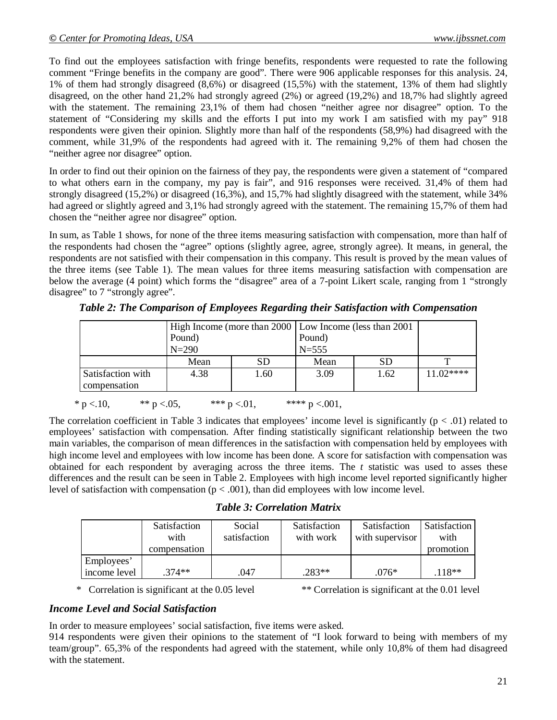To find out the employees satisfaction with fringe benefits, respondents were requested to rate the following comment "Fringe benefits in the company are good". There were 906 applicable responses for this analysis. 24, 1% of them had strongly disagreed (8,6%) or disagreed (15,5%) with the statement, 13% of them had slightly disagreed, on the other hand 21,2% had strongly agreed (2%) or agreed (19,2%) and 18,7% had slightly agreed with the statement. The remaining 23,1% of them had chosen "neither agree nor disagree" option. To the statement of "Considering my skills and the efforts I put into my work I am satisfied with my pay" 918 respondents were given their opinion. Slightly more than half of the respondents (58,9%) had disagreed with the comment, while 31,9% of the respondents had agreed with it. The remaining 9,2% of them had chosen the "neither agree nor disagree" option.

In order to find out their opinion on the fairness of they pay, the respondents were given a statement of "compared to what others earn in the company, my pay is fair", and 916 responses were received. 31,4% of them had strongly disagreed (15,2%) or disagreed (16,3%), and 15,7% had slightly disagreed with the statement, while 34% had agreed or slightly agreed and 3,1% had strongly agreed with the statement. The remaining 15,7% of them had chosen the "neither agree nor disagree" option.

In sum, as Table 1 shows, for none of the three items measuring satisfaction with compensation, more than half of the respondents had chosen the "agree" options (slightly agree, agree, strongly agree). It means, in general, the respondents are not satisfied with their compensation in this company. This result is proved by the mean values of the three items (see Table 1). The mean values for three items measuring satisfaction with compensation are below the average (4 point) which forms the "disagree" area of a 7-point Likert scale, ranging from 1 "strongly disagree" to 7 "strongly agree".

|                                                                       | High Income (more than 2000   Low Income (less than 2001) |           |                   |           |            |
|-----------------------------------------------------------------------|-----------------------------------------------------------|-----------|-------------------|-----------|------------|
|                                                                       | Pound)                                                    |           | Pound)<br>$N=555$ |           |            |
|                                                                       | $N = 290$                                                 |           |                   |           |            |
|                                                                       | Mean                                                      | <b>SD</b> | Mean              | <b>SD</b> |            |
| Satisfaction with<br>compensation                                     | 4.38                                                      | 1.60      | 3.09              | 1.62      | $11.02***$ |
| * $p < 10$ ,<br>**** $p < 001$ ,<br>*** $p < 01$ ,<br>** $p < 0.05$ , |                                                           |           |                   |           |            |

*Table 2: The Comparison of Employees Regarding their Satisfaction with Compensation*

The correlation coefficient in Table 3 indicates that employees' income level is significantly ( $p < .01$ ) related to employees' satisfaction with compensation. After finding statistically significant relationship between the two main variables, the comparison of mean differences in the satisfaction with compensation held by employees with high income level and employees with low income has been done. A score for satisfaction with compensation was obtained for each respondent by averaging across the three items. The *t* statistic was used to asses these differences and the result can be seen in Table 2. Employees with high income level reported significantly higher level of satisfaction with compensation ( $p < .001$ ), than did employees with low income level.

*Table 3: Correlation Matrix*

|              | Satisfaction<br>with<br>compensation | Social<br>satisfaction | Satisfaction<br>with work | <b>Satisfaction</b><br>with supervisor | <b>Satisfaction</b><br>with<br>promotion |
|--------------|--------------------------------------|------------------------|---------------------------|----------------------------------------|------------------------------------------|
| Employees'   |                                      |                        |                           |                                        |                                          |
| income level | $.374**$                             | 047                    | $.283**$                  | $.076*$                                | $118**$                                  |

\* Correlation is significant at the 0.05 level \*\* Correlation is significant at the 0.01 level

## *Income Level and Social Satisfaction*

In order to measure employees' social satisfaction, five items were asked.

914 respondents were given their opinions to the statement of "I look forward to being with members of my team/group". 65,3% of the respondents had agreed with the statement, while only 10,8% of them had disagreed with the statement.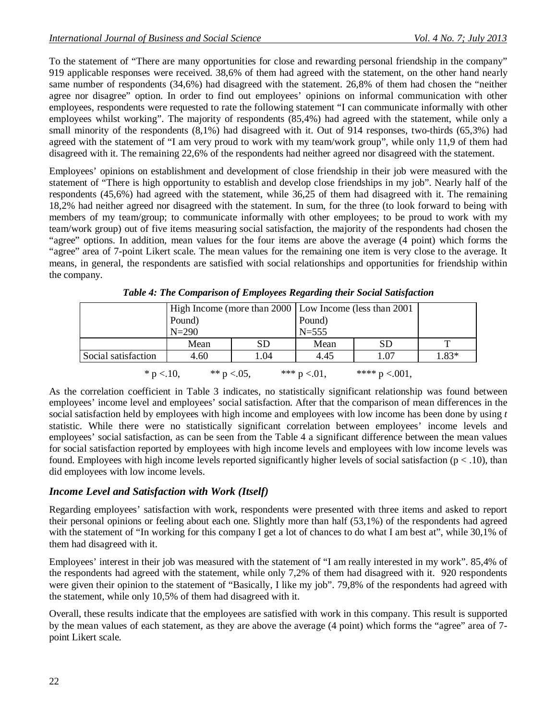To the statement of "There are many opportunities for close and rewarding personal friendship in the company" 919 applicable responses were received. 38,6% of them had agreed with the statement, on the other hand nearly same number of respondents (34,6%) had disagreed with the statement. 26,8% of them had chosen the "neither agree nor disagree" option. In order to find out employees' opinions on informal communication with other employees, respondents were requested to rate the following statement "I can communicate informally with other employees whilst working". The majority of respondents (85,4%) had agreed with the statement, while only a small minority of the respondents (8,1%) had disagreed with it. Out of 914 responses, two-thirds (65,3%) had agreed with the statement of "I am very proud to work with my team/work group", while only 11,9 of them had disagreed with it. The remaining 22,6% of the respondents had neither agreed nor disagreed with the statement.

Employees' opinions on establishment and development of close friendship in their job were measured with the statement of "There is high opportunity to establish and develop close friendships in my job". Nearly half of the respondents (45,6%) had agreed with the statement, while 36,25 of them had disagreed with it. The remaining 18,2% had neither agreed nor disagreed with the statement. In sum, for the three (to look forward to being with members of my team/group; to communicate informally with other employees; to be proud to work with my team/work group) out of five items measuring social satisfaction, the majority of the respondents had chosen the "agree" options. In addition, mean values for the four items are above the average (4 point) which forms the "agree" area of 7-point Likert scale. The mean values for the remaining one item is very close to the average. It means, in general, the respondents are satisfied with social relationships and opportunities for friendship within the company.

|                                                                       |           | High Income (more than 2000 Low Income (less than 2001) |           |      |       |
|-----------------------------------------------------------------------|-----------|---------------------------------------------------------|-----------|------|-------|
|                                                                       | Pound)    |                                                         | Pound)    |      |       |
|                                                                       | $N = 290$ |                                                         | $N = 555$ |      |       |
|                                                                       | Mean      | <b>SD</b>                                               | Mean      | SD   | ᠇᠇    |
| Social satisfaction                                                   | 4.60      | 1.04                                                    | 4.45      | 1.07 | 1.83* |
| *** $p < 01$ ,<br>**** $p < 001$ ,<br>** $p < 0.05$ ,<br>* $p < 10$ , |           |                                                         |           |      |       |

*Table 4: The Comparison of Employees Regarding their Social Satisfaction*

As the correlation coefficient in Table 3 indicates, no statistically significant relationship was found between employees' income level and employees' social satisfaction. After that the comparison of mean differences in the social satisfaction held by employees with high income and employees with low income has been done by using *t* statistic. While there were no statistically significant correlation between employees' income levels and employees' social satisfaction, as can be seen from the Table 4 a significant difference between the mean values for social satisfaction reported by employees with high income levels and employees with low income levels was found. Employees with high income levels reported significantly higher levels of social satisfaction ( $p < .10$ ), than did employees with low income levels.

## *Income Level and Satisfaction with Work (Itself)*

Regarding employees' satisfaction with work, respondents were presented with three items and asked to report their personal opinions or feeling about each one. Slightly more than half (53,1%) of the respondents had agreed with the statement of "In working for this company I get a lot of chances to do what I am best at", while 30,1% of them had disagreed with it.

Employees' interest in their job was measured with the statement of "I am really interested in my work". 85,4% of the respondents had agreed with the statement, while only 7,2% of them had disagreed with it. 920 respondents were given their opinion to the statement of "Basically, I like my job". 79,8% of the respondents had agreed with the statement, while only 10,5% of them had disagreed with it.

Overall, these results indicate that the employees are satisfied with work in this company. This result is supported by the mean values of each statement, as they are above the average (4 point) which forms the "agree" area of 7 point Likert scale.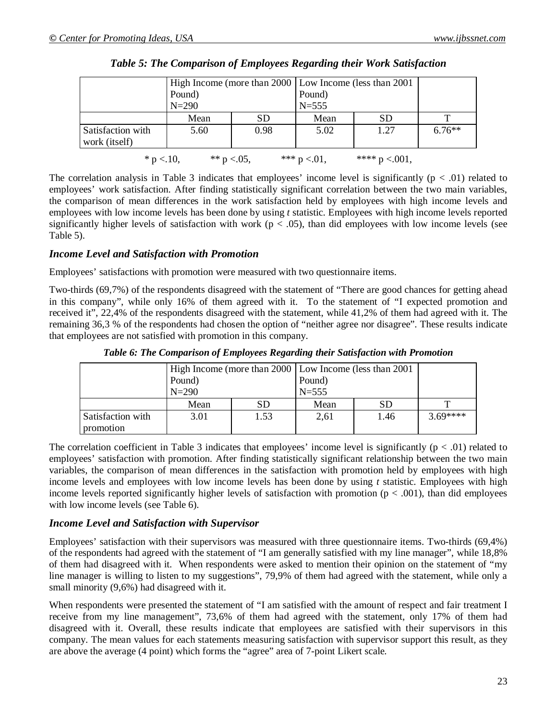|                                                                       |           | High Income (more than 2000   Low Income (less than 2001) |                   |           |          |  |
|-----------------------------------------------------------------------|-----------|-----------------------------------------------------------|-------------------|-----------|----------|--|
|                                                                       | Pound)    |                                                           | Pound)<br>$N=555$ |           |          |  |
|                                                                       | $N = 290$ |                                                           |                   |           |          |  |
|                                                                       | Mean      | <b>SD</b>                                                 | Mean              | <b>SD</b> | ௱        |  |
| Satisfaction with<br>work (itself)                                    | 5.60      | 0.98                                                      | 5.02              | 1.27      | $6.76**$ |  |
| *** $p < 01$ ,<br>**** $p < 001$ ,<br>** $p < 0.05$ ,<br>* $p < 10$ , |           |                                                           |                   |           |          |  |

*Table 5: The Comparison of Employees Regarding their Work Satisfaction*

The correlation analysis in Table 3 indicates that employees' income level is significantly  $(p < .01)$  related to employees' work satisfaction. After finding statistically significant correlation between the two main variables, the comparison of mean differences in the work satisfaction held by employees with high income levels and employees with low income levels has been done by using *t* statistic. Employees with high income levels reported significantly higher levels of satisfaction with work ( $p < .05$ ), than did employees with low income levels (see Table 5).

#### *Income Level and Satisfaction with Promotion*

Employees' satisfactions with promotion were measured with two questionnaire items.

Two-thirds (69,7%) of the respondents disagreed with the statement of "There are good chances for getting ahead in this company", while only 16% of them agreed with it. To the statement of "I expected promotion and received it", 22,4% of the respondents disagreed with the statement, while 41,2% of them had agreed with it. The remaining 36,3 % of the respondents had chosen the option of "neither agree nor disagree". These results indicate that employees are not satisfied with promotion in this company.

|                   |           | High Income (more than 2000   Low Income (less than 2001) |           |      |          |
|-------------------|-----------|-----------------------------------------------------------|-----------|------|----------|
|                   | Pound)    |                                                           | Pound)    |      |          |
|                   | $N = 290$ |                                                           | $N = 555$ |      |          |
|                   | Mean      | SD                                                        | Mean      | SD   |          |
| Satisfaction with | 3.01      | 1.53                                                      | 2,61      | 1.46 | $369***$ |
| promotion         |           |                                                           |           |      |          |

*Table 6: The Comparison of Employees Regarding their Satisfaction with Promotion*

The correlation coefficient in Table 3 indicates that employees' income level is significantly  $(p < .01)$  related to employees' satisfaction with promotion. After finding statistically significant relationship between the two main variables, the comparison of mean differences in the satisfaction with promotion held by employees with high income levels and employees with low income levels has been done by using *t* statistic. Employees with high income levels reported significantly higher levels of satisfaction with promotion ( $p < .001$ ), than did employees with low income levels (see Table 6).

#### *Income Level and Satisfaction with Supervisor*

Employees' satisfaction with their supervisors was measured with three questionnaire items. Two-thirds (69,4%) of the respondents had agreed with the statement of "I am generally satisfied with my line manager", while 18,8% of them had disagreed with it. When respondents were asked to mention their opinion on the statement of "my line manager is willing to listen to my suggestions", 79,9% of them had agreed with the statement, while only a small minority (9,6%) had disagreed with it.

When respondents were presented the statement of "I am satisfied with the amount of respect and fair treatment I receive from my line management", 73,6% of them had agreed with the statement, only 17% of them had disagreed with it. Overall, these results indicate that employees are satisfied with their supervisors in this company. The mean values for each statements measuring satisfaction with supervisor support this result, as they are above the average (4 point) which forms the "agree" area of 7-point Likert scale.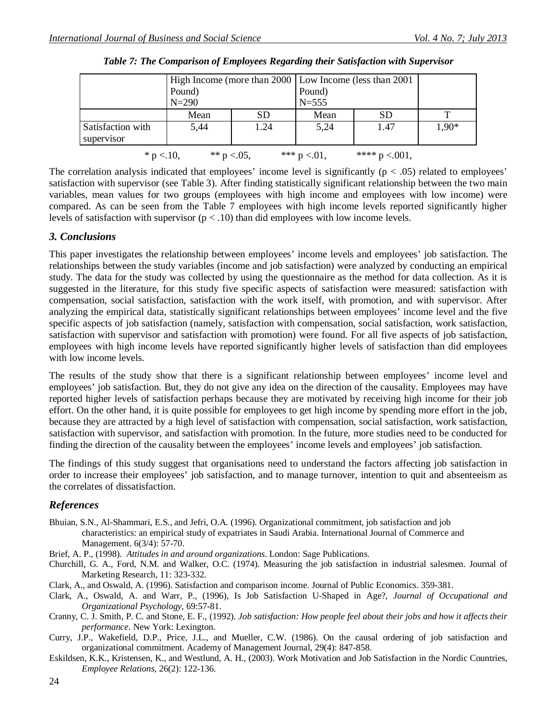|                                                                       |           | High Income (more than 2000   Low Income (less than 2001) |           |           |         |  |
|-----------------------------------------------------------------------|-----------|-----------------------------------------------------------|-----------|-----------|---------|--|
|                                                                       | Pound)    |                                                           | Pound)    |           |         |  |
|                                                                       | $N = 290$ |                                                           | $N = 555$ |           |         |  |
|                                                                       | Mean      | <b>SD</b>                                                 | Mean      | <b>SD</b> |         |  |
| Satisfaction with<br>supervisor                                       | 5,44      | 1.24                                                      | 5,24      | 1.47      | $1,90*$ |  |
| *** $p < 01$ ,<br>**** $p < 001$ ,<br>** $p < 0.05$ ,<br>* $p < 10$ , |           |                                                           |           |           |         |  |

*Table 7: The Comparison of Employees Regarding their Satisfaction with Supervisor*

The correlation analysis indicated that employees' income level is significantly  $(p < .05)$  related to employees' satisfaction with supervisor (see Table 3). After finding statistically significant relationship between the two main variables, mean values for two groups (employees with high income and employees with low income) were compared. As can be seen from the Table 7 employees with high income levels reported significantly higher levels of satisfaction with supervisor  $(p < .10)$  than did employees with low income levels.

#### *3. Conclusions*

This paper investigates the relationship between employees' income levels and employees' job satisfaction. The relationships between the study variables (income and job satisfaction) were analyzed by conducting an empirical study. The data for the study was collected by using the questionnaire as the method for data collection. As it is suggested in the literature, for this study five specific aspects of satisfaction were measured: satisfaction with compensation, social satisfaction, satisfaction with the work itself, with promotion, and with supervisor. After analyzing the empirical data, statistically significant relationships between employees' income level and the five specific aspects of job satisfaction (namely, satisfaction with compensation, social satisfaction, work satisfaction, satisfaction with supervisor and satisfaction with promotion) were found. For all five aspects of job satisfaction, employees with high income levels have reported significantly higher levels of satisfaction than did employees with low income levels.

The results of the study show that there is a significant relationship between employees' income level and employees' job satisfaction. But, they do not give any idea on the direction of the causality. Employees may have reported higher levels of satisfaction perhaps because they are motivated by receiving high income for their job effort. On the other hand, it is quite possible for employees to get high income by spending more effort in the job, because they are attracted by a high level of satisfaction with compensation, social satisfaction, work satisfaction, satisfaction with supervisor, and satisfaction with promotion. In the future, more studies need to be conducted for finding the direction of the causality between the employees' income levels and employees' job satisfaction.

The findings of this study suggest that organisations need to understand the factors affecting job satisfaction in order to increase their employees' job satisfaction, and to manage turnover, intention to quit and absenteeism as the correlates of dissatisfaction.

## *References*

- Bhuian, S.N., Al-Shammari, E.S., and Jefri, O.A. (1996). Organizational commitment, job satisfaction and job characteristics: an empirical study of expatriates in Saudi Arabia. International Journal of Commerce and Management. 6(3/4): 57-70.
- Brief, A. P., (1998). *Attitudes in and around organizations*. London: Sage Publications.
- Churchill, G. A., Ford, N.M. and Walker, O.C. (1974). Measuring the job satisfaction in industrial salesmen. Journal of Marketing Research, 11: 323-332.
- Clark, A., and Oswald, A. (1996). Satisfaction and comparison income. Journal of Public Economics. 359-381.
- Clark, A., Oswald, A. and Warr, P., (1996), Is Job Satisfaction U-Shaped in Age?, *Journal of Occupational and Organizational Psychology*, 69:57-81.
- Cranny, C. J. Smith, P. C. and Stone, E. F., (1992). *Job satisfaction: How people feel about their jobs and how it affects their performance*. New York: Lexington.
- Curry, J.P., Wakefield, D.P., Price, J.L., and Mueller, C.W. (1986). On the causal ordering of job satisfaction and organizational commitment. Academy of Management Journal, 29(4): 847-858.
- Eskildsen, K.K., Kristensen, K., and Westlund, A. H., (2003). Work Motivation and Job Satisfaction in the Nordic Countries, *Employee Relations*, 26(2): 122-136.